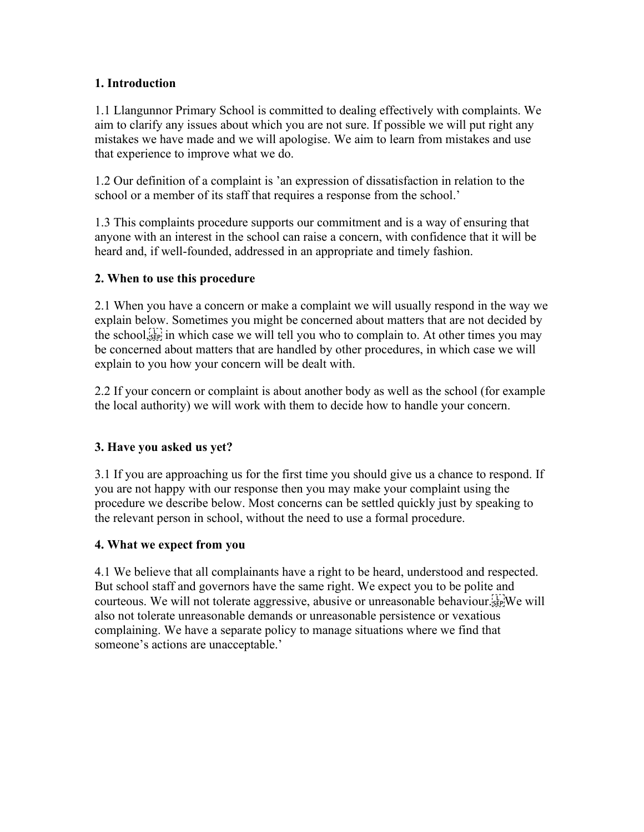## **1. Introduction**

1.1 Llangunnor Primary School is committed to dealing effectively with complaints. We aim to clarify any issues about which you are not sure. If possible we will put right any mistakes we have made and we will apologise. We aim to learn from mistakes and use that experience to improve what we do.

1.2 Our definition of a complaint is 'an expression of dissatisfaction in relation to the school or a member of its staff that requires a response from the school.'

1.3 This complaints procedure supports our commitment and is a way of ensuring that anyone with an interest in the school can raise a concern, with confidence that it will be heard and, if well-founded, addressed in an appropriate and timely fashion.

## **2. When to use this procedure**

2.1 When you have a concern or make a complaint we will usually respond in the way we explain below. Sometimes you might be concerned about matters that are not decided by the school, i.e., in which case we will tell you who to complain to. At other times you may be concerned about matters that are handled by other procedures, in which case we will explain to you how your concern will be dealt with.

2.2 If your concern or complaint is about another body as well as the school (for example the local authority) we will work with them to decide how to handle your concern.

## **3. Have you asked us yet?**

3.1 If you are approaching us for the first time you should give us a chance to respond. If you are not happy with our response then you may make your complaint using the procedure we describe below. Most concerns can be settled quickly just by speaking to the relevant person in school, without the need to use a formal procedure.

## **4. What we expect from you**

4.1 We believe that all complainants have a right to be heard, understood and respected. But school staff and governors have the same right. We expect you to be polite and courteous. We will not tolerate aggressive, abusive or unreasonable behaviour. also not tolerate unreasonable demands or unreasonable persistence or vexatious complaining. We have a separate policy to manage situations where we find that someone's actions are unacceptable.'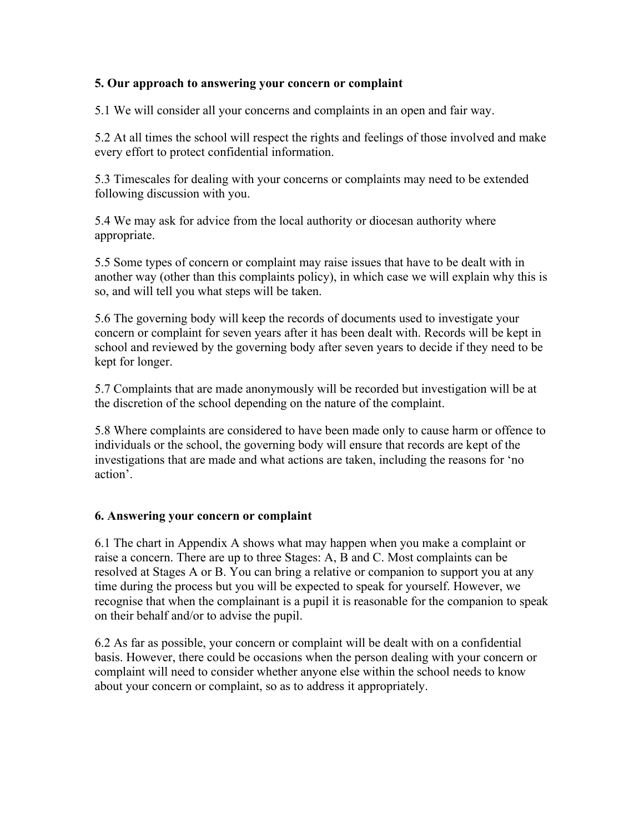## **5. Our approach to answering your concern or complaint**

5.1 We will consider all your concerns and complaints in an open and fair way.

5.2 At all times the school will respect the rights and feelings of those involved and make every effort to protect confidential information.

5.3 Timescales for dealing with your concerns or complaints may need to be extended following discussion with you.

5.4 We may ask for advice from the local authority or diocesan authority where appropriate.

5.5 Some types of concern or complaint may raise issues that have to be dealt with in another way (other than this complaints policy), in which case we will explain why this is so, and will tell you what steps will be taken.

5.6 The governing body will keep the records of documents used to investigate your concern or complaint for seven years after it has been dealt with. Records will be kept in school and reviewed by the governing body after seven years to decide if they need to be kept for longer.

5.7 Complaints that are made anonymously will be recorded but investigation will be at the discretion of the school depending on the nature of the complaint.

5.8 Where complaints are considered to have been made only to cause harm or offence to individuals or the school, the governing body will ensure that records are kept of the investigations that are made and what actions are taken, including the reasons for 'no action'.

## **6. Answering your concern or complaint**

6.1 The chart in Appendix A shows what may happen when you make a complaint or raise a concern. There are up to three Stages: A, B and C. Most complaints can be resolved at Stages A or B. You can bring a relative or companion to support you at any time during the process but you will be expected to speak for yourself. However, we recognise that when the complainant is a pupil it is reasonable for the companion to speak on their behalf and/or to advise the pupil.

6.2 As far as possible, your concern or complaint will be dealt with on a confidential basis. However, there could be occasions when the person dealing with your concern or complaint will need to consider whether anyone else within the school needs to know about your concern or complaint, so as to address it appropriately.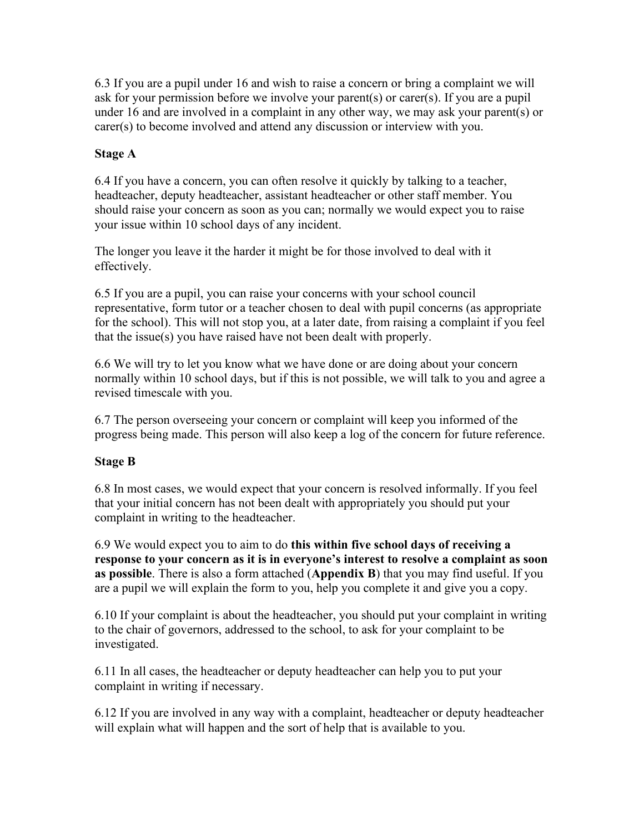6.3 If you are a pupil under 16 and wish to raise a concern or bring a complaint we will ask for your permission before we involve your parent(s) or carer(s). If you are a pupil under 16 and are involved in a complaint in any other way, we may ask your parent(s) or carer(s) to become involved and attend any discussion or interview with you.

## **Stage A**

6.4 If you have a concern, you can often resolve it quickly by talking to a teacher, headteacher, deputy headteacher, assistant headteacher or other staff member. You should raise your concern as soon as you can; normally we would expect you to raise your issue within 10 school days of any incident.

The longer you leave it the harder it might be for those involved to deal with it effectively.

6.5 If you are a pupil, you can raise your concerns with your school council representative, form tutor or a teacher chosen to deal with pupil concerns (as appropriate for the school). This will not stop you, at a later date, from raising a complaint if you feel that the issue(s) you have raised have not been dealt with properly.

6.6 We will try to let you know what we have done or are doing about your concern normally within 10 school days, but if this is not possible, we will talk to you and agree a revised timescale with you.

6.7 The person overseeing your concern or complaint will keep you informed of the progress being made. This person will also keep a log of the concern for future reference.

## **Stage B**

6.8 In most cases, we would expect that your concern is resolved informally. If you feel that your initial concern has not been dealt with appropriately you should put your complaint in writing to the headteacher.

6.9 We would expect you to aim to do **this within five school days of receiving a response to your concern as it is in everyone's interest to resolve a complaint as soon as possible**. There is also a form attached (**Appendix B**) that you may find useful. If you are a pupil we will explain the form to you, help you complete it and give you a copy.

6.10 If your complaint is about the headteacher, you should put your complaint in writing to the chair of governors, addressed to the school, to ask for your complaint to be investigated.

6.11 In all cases, the headteacher or deputy headteacher can help you to put your complaint in writing if necessary.

6.12 If you are involved in any way with a complaint, headteacher or deputy headteacher will explain what will happen and the sort of help that is available to you.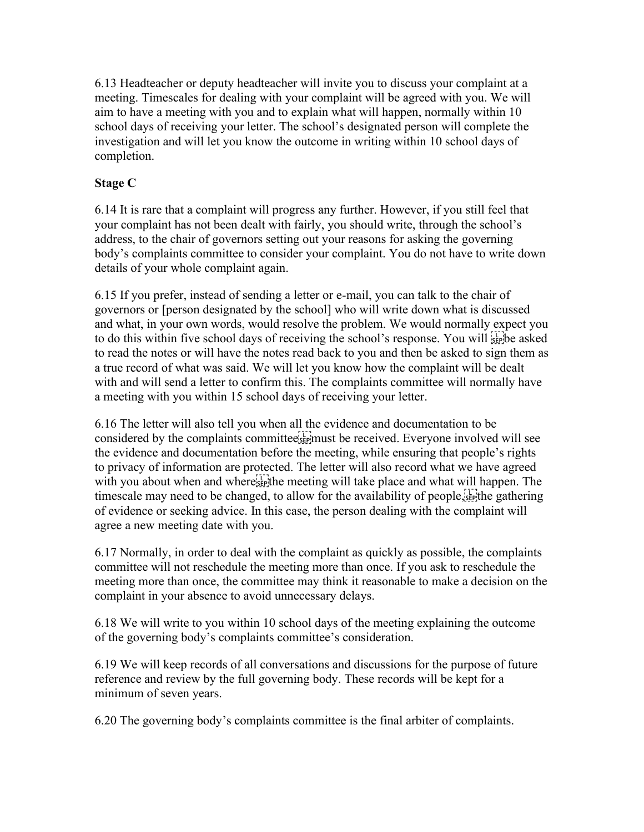6.13 Headteacher or deputy headteacher will invite you to discuss your complaint at a meeting. Timescales for dealing with your complaint will be agreed with you. We will aim to have a meeting with you and to explain what will happen, normally within 10 school days of receiving your letter. The school's designated person will complete the investigation and will let you know the outcome in writing within 10 school days of completion.

## **Stage C**

6.14 It is rare that a complaint will progress any further. However, if you still feel that your complaint has not been dealt with fairly, you should write, through the school's address, to the chair of governors setting out your reasons for asking the governing body's complaints committee to consider your complaint. You do not have to write down details of your whole complaint again.

6.15 If you prefer, instead of sending a letter or e-mail, you can talk to the chair of governors or [person designated by the school] who will write down what is discussed and what, in your own words, would resolve the problem. We would normally expect you to do this within five school days of receiving the school's response. You will  $\sum_{s \in \mathbb{N}}$  be asked to read the notes or will have the notes read back to you and then be asked to sign them as a true record of what was said. We will let you know how the complaint will be dealt with and will send a letter to confirm this. The complaints committee will normally have a meeting with you within 15 school days of receiving your letter.

6.16 The letter will also tell you when all the evidence and documentation to be considered by the complaints committee<sup>[11]</sup> must be received. Everyone involved will see the evidence and documentation before the meeting, while ensuring that people's rights to privacy of information are protected. The letter will also record what we have agreed with you about when and where<sup>[17]</sup> the meeting will take place and what will happen. The timescale may need to be changed, to allow for the availability of people,  $\frac{1}{2}$  the gathering of evidence or seeking advice. In this case, the person dealing with the complaint will agree a new meeting date with you.

6.17 Normally, in order to deal with the complaint as quickly as possible, the complaints committee will not reschedule the meeting more than once. If you ask to reschedule the meeting more than once, the committee may think it reasonable to make a decision on the complaint in your absence to avoid unnecessary delays.

6.18 We will write to you within 10 school days of the meeting explaining the outcome of the governing body's complaints committee's consideration.

6.19 We will keep records of all conversations and discussions for the purpose of future reference and review by the full governing body. These records will be kept for a minimum of seven years.

6.20 The governing body's complaints committee is the final arbiter of complaints.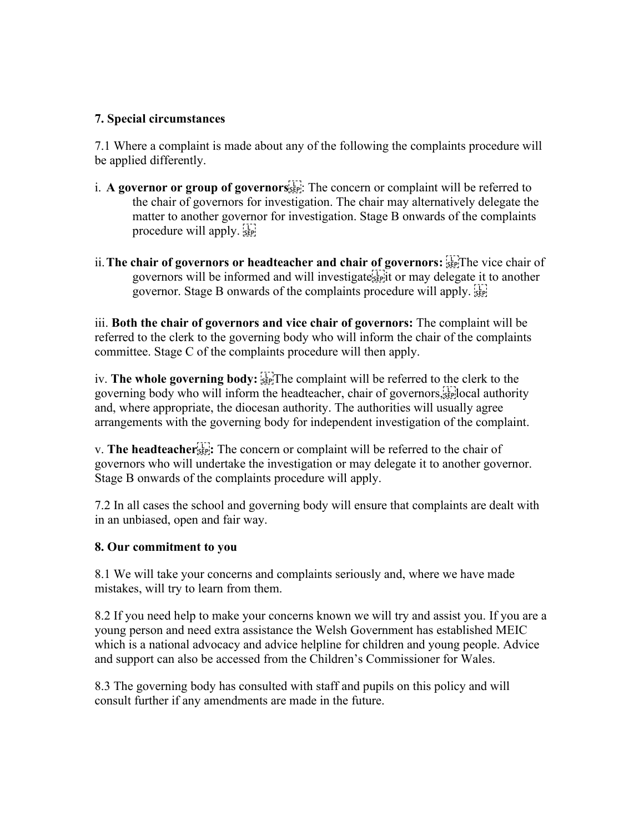## **7. Special circumstances**

7.1 Where a complaint is made about any of the following the complaints procedure will be applied differently.

- i. **A governor or group of governors** : The concern or complaint will be referred to the chair of governors for investigation. The chair may alternatively delegate the matter to another governor for investigation. Stage B onwards of the complaints procedure will apply.
- ii. The chair of governors or headteacher and chair of governors: **SEPP** Separate chair of governors will be informed and will investigate
it or may delegate it to another governor. Stage B onwards of the complaints procedure will apply.

iii. **Both the chair of governors and vice chair of governors:** The complaint will be referred to the clerk to the governing body who will inform the chair of the complaints committee. Stage C of the complaints procedure will then apply.

iv. **The whole governing body: EXPLARE COMPLANE TO THE COMPLANE OF STARE FOR THE VIOLET OF THE VIOLET STARE FOR THE UPS** governing body who will inform the headteacher, chair of governors,  $\sum_{s}$  local authority and, where appropriate, the diocesan authority. The authorities will usually agree arrangements with the governing body for independent investigation of the complaint.

v. **The headteacher :** The concern or complaint will be referred to the chair of governors who will undertake the investigation or may delegate it to another governor. Stage B onwards of the complaints procedure will apply.

7.2 In all cases the school and governing body will ensure that complaints are dealt with in an unbiased, open and fair way.

### **8. Our commitment to you**

8.1 We will take your concerns and complaints seriously and, where we have made mistakes, will try to learn from them.

8.2 If you need help to make your concerns known we will try and assist you. If you are a young person and need extra assistance the Welsh Government has established MEIC which is a national advocacy and advice helpline for children and young people. Advice and support can also be accessed from the Children's Commissioner for Wales.

8.3 The governing body has consulted with staff and pupils on this policy and will consult further if any amendments are made in the future.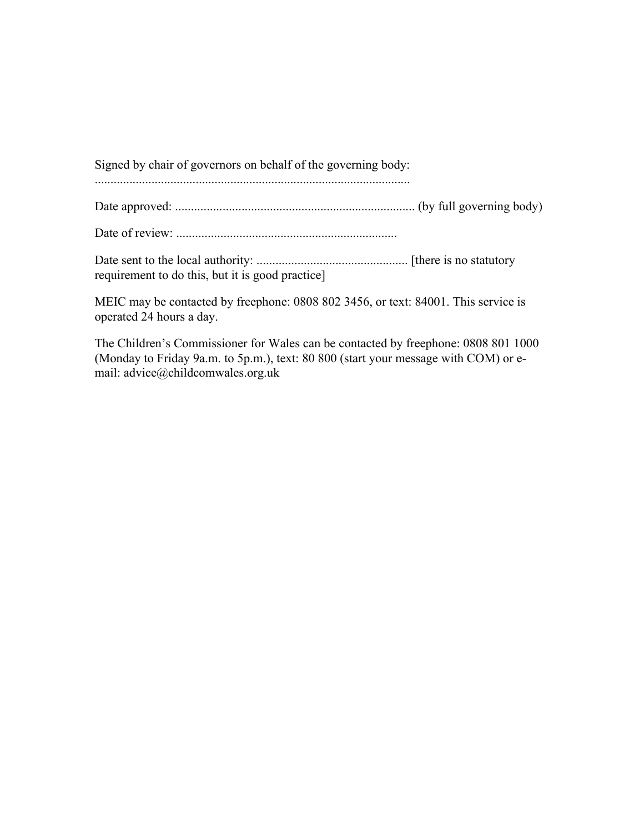Signed by chair of governors on behalf of the governing body:

....................................................................................................

Date approved: ............................................................................ (by full governing body)

Date of review: ......................................................................

Date sent to the local authority: ................................................ [there is no statutory requirement to do this, but it is good practice]

MEIC may be contacted by freephone: 0808 802 3456, or text: 84001. This service is operated 24 hours a day.

The Children's Commissioner for Wales can be contacted by freephone: 0808 801 1000 (Monday to Friday 9a.m. to 5p.m.), text: 80 800 (start your message with COM) or email: advice@childcomwales.org.uk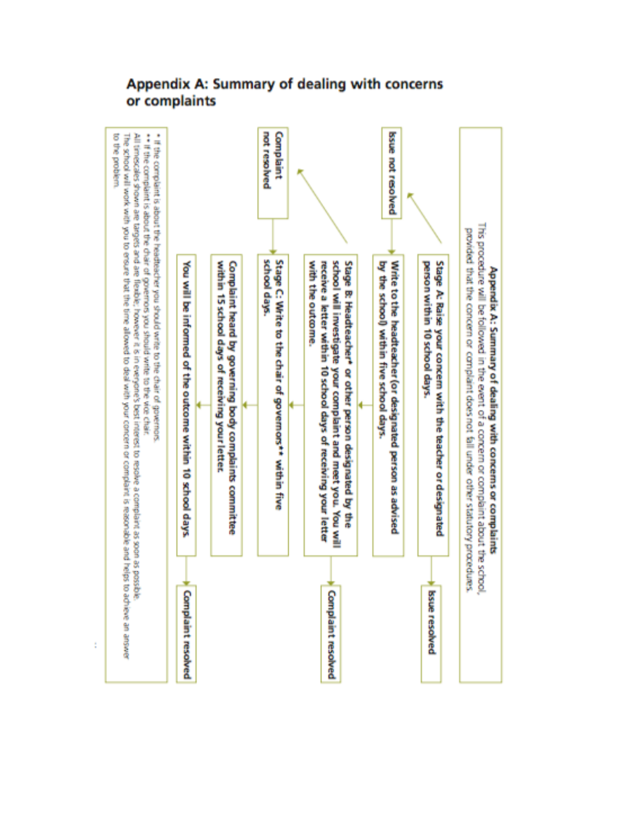

ś

# Appendix A: Summary of dealing with concerns or complaints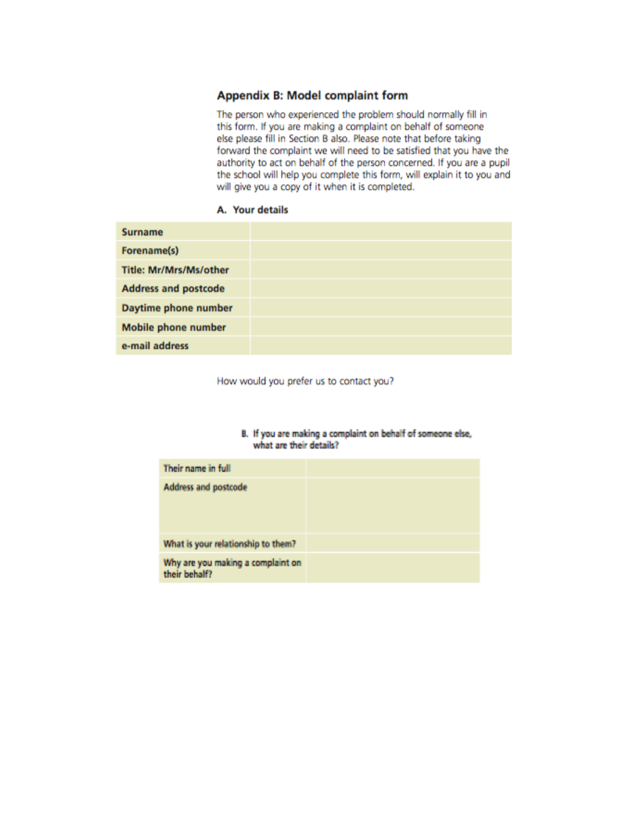#### **Appendix B: Model complaint form**

The person who experienced the problem should normally fill in this form. If you are making a complaint on behalf of someone else please fill in Section B also. Please note that before taking forward the complaint we will need to be satisfied that you have the authority to act on behalf of the person concerned. If you are a pupil the school will help you complete this form, will explain it to you and will give you a copy of it when it is completed.

#### A. Your details

| <b>Surname</b>              |  |
|-----------------------------|--|
| Forename(s)                 |  |
| Title: Mr/Mrs/Ms/other      |  |
| <b>Address and postcode</b> |  |
| Daytime phone number        |  |
| <b>Mobile phone number</b>  |  |
| e-mail address              |  |

How would you prefer us to contact you?

#### B. If you are making a complaint on behalf of someone else, what are their details?

| Their name in full                                 |  |
|----------------------------------------------------|--|
| <b>Address and postcode</b>                        |  |
| What is your relationship to them?                 |  |
| Why are you making a complaint on<br>their behalf? |  |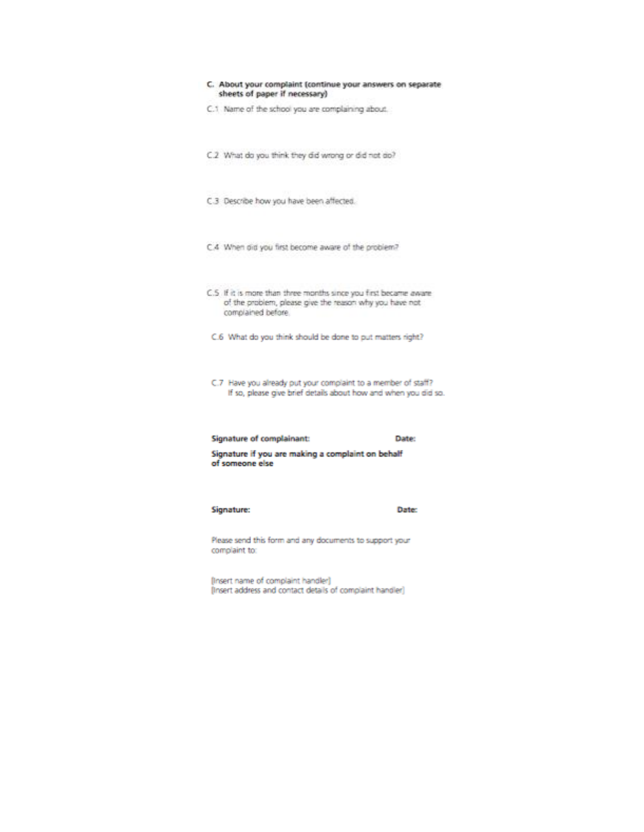| C. About your complaint (continue your answers on separate<br>sheets of paper if necessary)                                                       |       |
|---------------------------------------------------------------------------------------------------------------------------------------------------|-------|
| C.1 Name of the school you are complaining about.                                                                                                 |       |
| C.2 What do you think they did wrong or did not do?                                                                                               |       |
| C.3 Describe how you have been affected.                                                                                                          |       |
| C.4 When did you first become aware of the problem?                                                                                               |       |
| C.5 If it is more than three months since you first became aware<br>of the problem, please give the reason why you have not<br>complained before. |       |
| C.6 What do you think should be done to put matters right?                                                                                        |       |
| C.7 Have you already put your complaint to a member of staff?<br>If so, please give brief details about how and when you did so.                  |       |
| Signature of complainant:                                                                                                                         | Date: |
| Signature if you are making a complaint on behalf<br>of someone else                                                                              |       |
| Signature:                                                                                                                                        | Date: |

Please send this form and any documents to support your complaint to:

[Insert name of complaint handler]<br>[Insert address and contact details of complaint handler]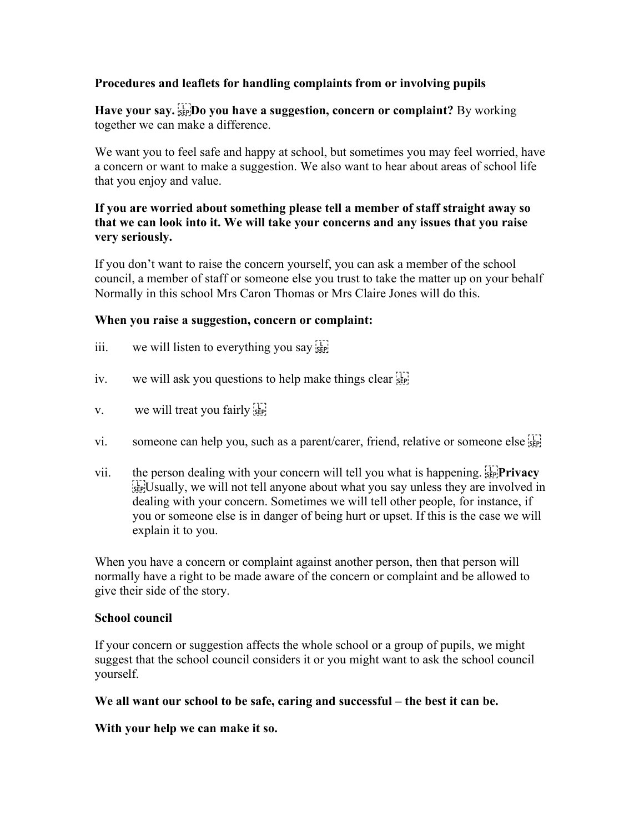## **Procedures and leaflets for handling complaints from or involving pupils**

**Have your say.**  $\lim_{x \to a}$  **Do you have a suggestion, concern or complaint?** By working together we can make a difference.

We want you to feel safe and happy at school, but sometimes you may feel worried, have a concern or want to make a suggestion. We also want to hear about areas of school life that you enjoy and value.

## **If you are worried about something please tell a member of staff straight away so that we can look into it. We will take your concerns and any issues that you raise very seriously.**

If you don't want to raise the concern yourself, you can ask a member of the school council, a member of staff or someone else you trust to take the matter up on your behalf Normally in this school Mrs Caron Thomas or Mrs Claire Jones will do this.

## **When you raise a suggestion, concern or complaint:**

- iii. we will listen to everything you say  $\frac{1}{12}$
- iv. we will ask you questions to help make things clear  $\frac{1}{15}$
- v. we will treat you fairly  $\frac{1}{55}$
- vi. someone can help you, such as a parent/carer, friend, relative or someone else  $\frac{1}{2}$
- vii. the person dealing with your concern will tell you what is happening.  $\frac{1}{2}$ **Privacy**  $\frac{1}{2}$  Usually, we will not tell anyone about what you say unless they are involved in dealing with your concern. Sometimes we will tell other people, for instance, if you or someone else is in danger of being hurt or upset. If this is the case we will explain it to you.

When you have a concern or complaint against another person, then that person will normally have a right to be made aware of the concern or complaint and be allowed to give their side of the story.

## **School council**

If your concern or suggestion affects the whole school or a group of pupils, we might suggest that the school council considers it or you might want to ask the school council yourself.

## **We all want our school to be safe, caring and successful – the best it can be.**

**With your help we can make it so.**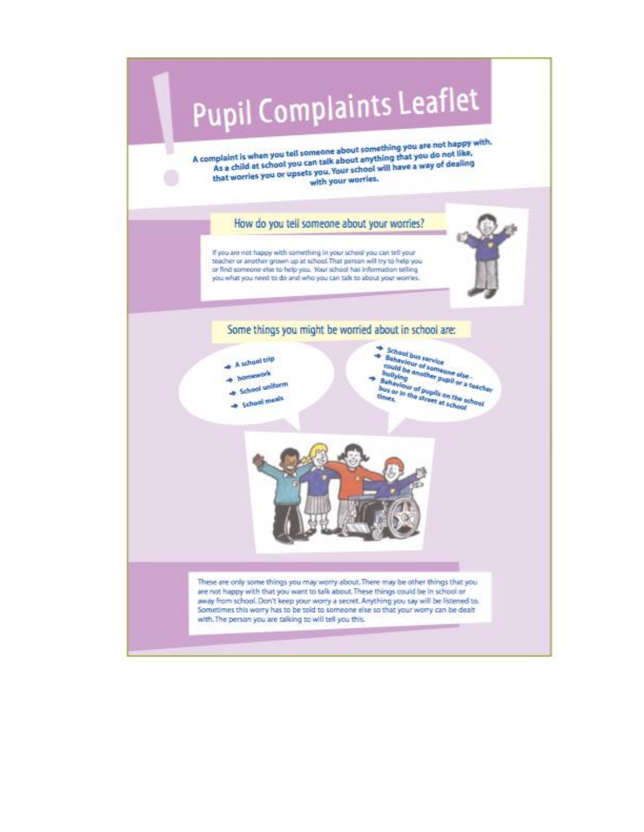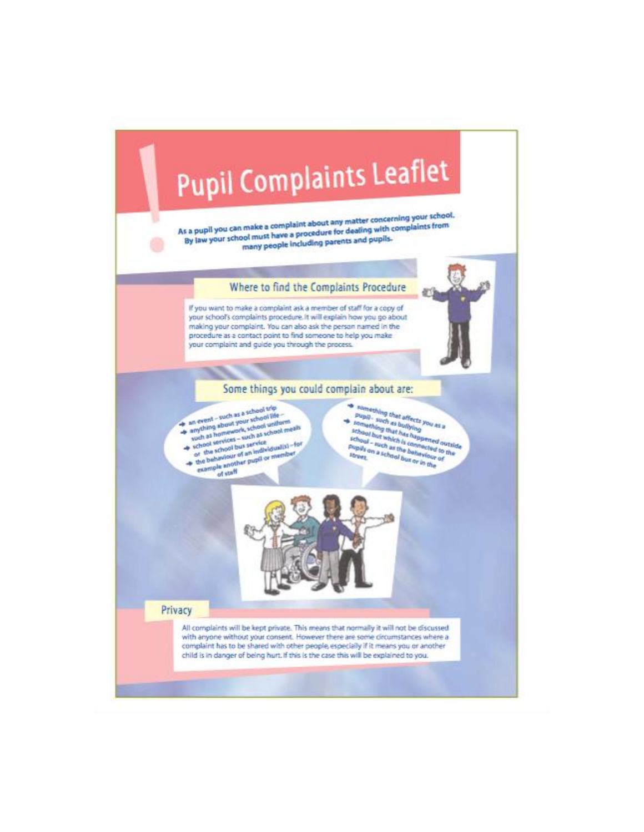

As a pupil you can make a complaint about any matter concerning your school. By law your school must have a procedure for dealing with complaints from many people including parents and pupils.

Where to find the Complaints Procedure

If you want to make a complaint ask a member of staff for a copy of your school's complaints procedure. It will explain how you go about making your complaint. You can also ask the person named in the procedure as a contact point to find someone to help you make your complaint and guide you through the process.



- an event such as a school trip anything about your school life wich as homework, school uniform yoch as homework, voices under meals
- 
- the behaviour of an individualist-for the school bus service example another pupil or member
	- of staff
- something that affects you as a **Pupil** - such as builting puper seen as pumming<br>formsthing that has happened outside school but which is competed outside<br>school - such as the competed to the<br>school - such as the behaviour of
- Papils on a school but or in the



Privacy

All complaints will be kept private. This means that normally it will not be discussed with anyone without your consent. However there are some circumstances where a complaint has to be shared with other people, especially if it means you or another child is in danger of being hurt. If this is the case this will be explained to you.